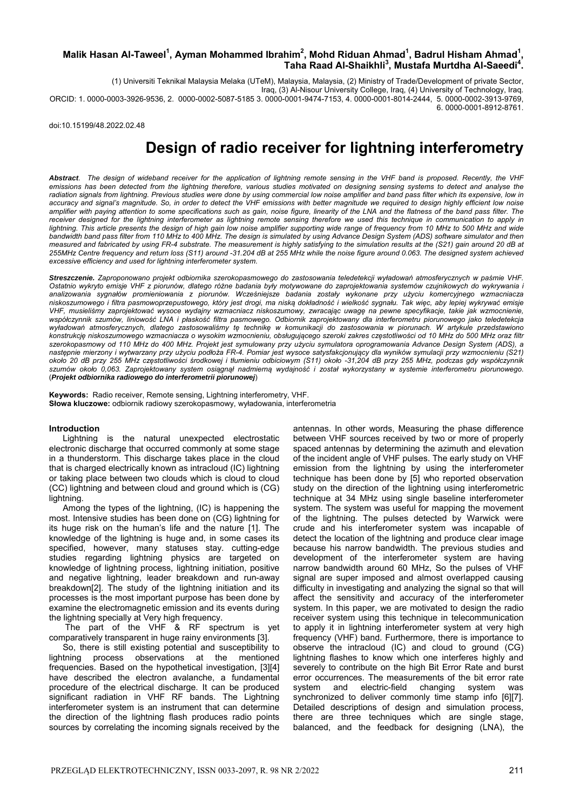#### Malik Hasan Al-Taweel<sup>1</sup>, Ayman Mohammed Ibrahim<sup>2</sup>, Mohd Riduan Ahmad<sup>1</sup>, Badrul Hisham Ahmad<sup>1</sup> **,**  Taha Raad Al-Shaikhli<sup>3</sup>, Mustafa Murtdha Al-Saeedi<sup>4</sup>.

(1) Universiti Teknikal Malaysia Melaka (UTeM), Malaysia, Malaysia, (2) Ministry of Trade/Development of private Sector, Iraq, (3) Al-Nisour University College, Iraq, (4) University of Technology, Iraq. ORCID: 1. 0000-0003-3926-9536, 2. 0000-0002-5087-5185 3. 0000-0001-9474-7153, 4. 0000-0001-8014-2444, 5. 0000-0002-3913-9769, 6. 0000-0001-8912-8761.

doi:10.15199/48.2022.02.48

# **Design of radio receiver for lightning interferometry**

*Abstract. The design of wideband receiver for the application of lightning remote sensing in the VHF band is proposed. Recently, the VHF emissions has been detected from the lightning therefore, various studies motivated on designing sensing systems to detect and analyse the*  radiation signals from lightning. Previous studies were done by using commercial low noise amplifier and band pass filter which its expensive, low in *accuracy and signal's magnitude. So, in order to detect the VHF emissions with better magnitude we required to design highly efficient low noise amplifier with paying attention to some specifications such as gain, noise figure, linearity of the LNA and the flatness of the band pass filter. The*  receiver designed for the lightning interferometer as lightning remote sensing therefore we used this technique in communication to apply in lightning. This article presents the design of high gain low noise amplifier supporting wide range of frequency from 10 MHz to 500 MHz and wide *bandwidth band pass filter from 110 MHz to 400 MHz. The design is simulated by using Advance Design System (ADS) software simulator and then measured and fabricated by using FR-4 substrate. The measurement is highly satisfying to the simulation results at the (S21) gain around 20 dB at 255MHz Centre frequency and return loss (S11) around -31.204 dB at 255 MHz while the noise figure around 0.063. The designed system achieved excessive efficiency and used for lightning interferometer system.* 

*Streszczenie. Zaproponowano projekt odbiornika szerokopasmowego do zastosowania teledetekcji wyładowań atmosferycznych w paśmie VHF. Ostatnio wykryto emisje VHF z piorunów, dlatego różne badania były motywowane do zaprojektowania systemów czujnikowych do wykrywania i analizowania sygnałów promieniowania z piorunów. Wcześniejsze badania zostały wykonane przy użyciu komercyjnego wzmacniacza*  niskoszumowego i filtra pasmowoprzepustowego, który jest drogi, ma niską dokładność i wielkość sygnału. Tak więc, aby lepiej wykrywać emisje *VHF, musieliśmy zaprojektować wysoce wydajny wzmacniacz niskoszumowy, zwracając uwagę na pewne specyfikacje, takie jak wzmocnienie, współczynnik szumów, liniowość LNA i płaskość filtra pasmowego. Odbiornik zaprojektowany dla interferometru piorunowego jako teledetekcja wyładowań atmosferycznych, dlatego zastosowaliśmy tę technikę w komunikacji do zastosowania w piorunach. W artykule przedstawiono konstrukcję niskoszumowego wzmacniacza o wysokim wzmocnieniu, obsługującego szeroki zakres częstotliwości od 10 MHz do 500 MHz oraz filtr szerokopasmowy od 110 MHz do 400 MHz. Projekt jest symulowany przy użyciu symulatora oprogramowania Advance Design System (ADS), a następnie mierzony i wytwarzany przy użyciu podłoża FR-4. Pomiar jest wysoce satysfakcjonujący dla wyników symulacji przy wzmocnieniu (S21)*  około 20 dB przy 255 MHz częstotliwości środkowej i tłumieniu odbiciowym (S11) około -31,204 dB przy 255 MHz, podczas gdy współczynnik *szumów około 0,063. Zaprojektowany system osiągnął nadmierną wydajność i został wykorzystany w systemie interferometru piorunowego*. (*Projekt odbiornika radiowego do interferometrii piorunowej*)

**Keywords:** Radio receiver, Remote sensing, Lightning interferometry, VHF. **Słowa kluczowe:** odbiornik radiowy szerokopasmowy, wyładowania, interferometria

#### **Introduction**

Lightning is the natural unexpected electrostatic electronic discharge that occurred commonly at some stage in a thunderstorm. This discharge takes place in the cloud that is charged electrically known as intracloud (IC) lightning or taking place between two clouds which is cloud to cloud (CC) lightning and between cloud and ground which is (CG) lightning.

Among the types of the lightning, (IC) is happening the most. Intensive studies has been done on (CG) lightning for its huge risk on the human's life and the nature [1]. The knowledge of the lightning is huge and, in some cases its specified, however, many statuses stay. cutting-edge studies regarding lightning physics are targeted on knowledge of lightning process, lightning initiation, positive and negative lightning, leader breakdown and run-away breakdown[2]. The study of the lightning initiation and its processes is the most important purpose has been done by examine the electromagnetic emission and its events during the lightning specially at Very high frequency.

 The part of the VHF & RF spectrum is yet comparatively transparent in huge rainy environments [3].

So, there is still existing potential and susceptibility to lightning process observations at the mentioned frequencies. Based on the hypothetical investigation, [3][4] have described the electron avalanche, a fundamental procedure of the electrical discharge. It can be produced significant radiation in VHF RF bands. The Lightning interferometer system is an instrument that can determine the direction of the lightning flash produces radio points sources by correlating the incoming signals received by the antennas. In other words, Measuring the phase difference between VHF sources received by two or more of properly spaced antennas by determining the azimuth and elevation of the incident angle of VHF pulses. The early study on VHF emission from the lightning by using the interferometer technique has been done by [5] who reported observation study on the direction of the lightning using interferometric technique at 34 MHz using single baseline interferometer system. The system was useful for mapping the movement of the lightning. The pulses detected by Warwick were crude and his interferometer system was incapable of detect the location of the lightning and produce clear image because his narrow bandwidth. The previous studies and development of the interferometer system are having narrow bandwidth around 60 MHz, So the pulses of VHF signal are super imposed and almost overlapped causing difficulty in investigating and analyzing the signal so that will affect the sensitivity and accuracy of the interferometer system. In this paper, we are motivated to design the radio receiver system using this technique in telecommunication to apply it in lightning interferometer system at very high frequency (VHF) band. Furthermore, there is importance to observe the intracloud (IC) and cloud to ground (CG) lightning flashes to know which one interferes highly and severely to contribute on the high Bit Error Rate and burst error occurrences. The measurements of the bit error rate system and electric-field changing system was synchronized to deliver commonly time stamp info [6][7]. Detailed descriptions of design and simulation process, there are three techniques which are single stage, balanced, and the feedback for designing (LNA), the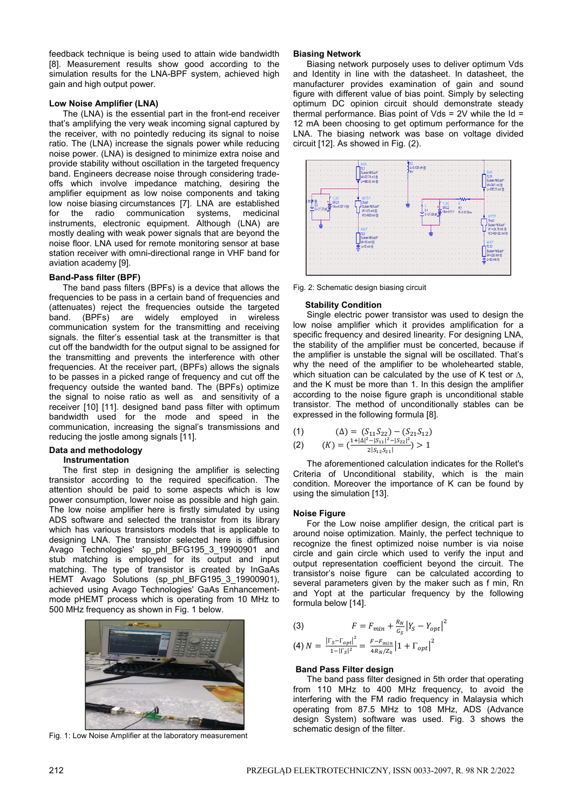feedback technique is being used to attain wide bandwidth [8]. Measurement results show good according to the simulation results for the LNA-BPF system, achieved high gain and high output power.

#### **Low Noise Amplifier (LNA)**

The (LNA) is the essential part in the front-end receiver that's amplifying the very weak incoming signal captured by the receiver, with no pointedly reducing its signal to noise ratio. The (LNA) increase the signals power while reducing noise power. (LNA) is designed to minimize extra noise and provide stability without oscillation in the targeted frequency band. Engineers decrease noise through considering tradeoffs which involve impedance matching, desiring the amplifier equipment as low noise components and taking low noise biasing circumstances [7]. LNA are established for the radio communication systems, medicinal instruments, electronic equipment. Although (LNA) are mostly dealing with weak power signals that are beyond the noise floor. LNA used for remote monitoring sensor at base station receiver with omni-directional range in VHF band for aviation academy [9].

#### **Band-Pass filter (BPF)**

The band pass filters (BPFs) is a device that allows the frequencies to be pass in a certain band of frequencies and (attenuates) reject the frequencies outside the targeted band. (BPFs) are widely employed in wireless communication system for the transmitting and receiving signals. the filter's essential task at the transmitter is that cut off the bandwidth for the output signal to be assigned for the transmitting and prevents the interference with other frequencies. At the receiver part, (BPFs) allows the signals to be passes in a picked range of frequency and cut off the frequency outside the wanted band. The (BPFs) optimize the signal to noise ratio as well as and sensitivity of a receiver [10] [11]. designed band pass filter with optimum bandwidth used for the mode and speed in the communication, increasing the signal's transmissions and reducing the jostle among signals [11].

### **Data and methodology**

## **Instrumentation**

The first step in designing the amplifier is selecting transistor according to the required specification. The attention should be paid to some aspects which is low power consumption, lower noise as possible and high gain. The low noise amplifier here is firstly simulated by using ADS software and selected the transistor from its library which has various transistors models that is applicable to designing LNA. The transistor selected here is diffusion Avago Technologies' sp\_phl\_BFG195\_3\_19900901 and stub matching is employed for its output and input matching. The type of transistor is created by InGaAs HEMT Avago Solutions (sp\_phl\_BFG195\_3\_19900901), achieved using Avago Technologies' GaAs Enhancementmode pHEMT process which is operating from 10 MHz to 500 MHz frequency as shown in Fig. 1 below.



Fig. 1: Low Noise Amplifier at the laboratory measurement

#### **Biasing Network**

Biasing network purposely uses to deliver optimum Vds and Identity in line with the datasheet. In datasheet, the manufacturer provides examination of gain and sound figure with different value of bias point. Simply by selecting optimum DC opinion circuit should demonstrate steady thermal performance. Bias point of Vds =  $2V$  while the Id = 12 mA been choosing to get optimum performance for the LNA. The biasing network was base on voltage divided circuit [12]. As showed in Fig. (2).



Fig. 2: Schematic design biasing circuit

#### **Stability Condition**

Single electric power transistor was used to design the low noise amplifier which it provides amplification for a specific frequency and desired linearity. For designing LNA, the stability of the amplifier must be concerted, because if the amplifier is unstable the signal will be oscillated. That's why the need of the amplifier to be wholehearted stable. which situation can be calculated by the use of K test or  $\Delta$ , and the K must be more than 1. In this design the amplifier according to the noise figure graph is unconditional stable transistor. The method of unconditionally stables can be expressed in the following formula [8].

(1) 
$$
\begin{aligned} \text{(A)} &= \left(S_{11}S_{22}\right) - \left(S_{21}S_{12}\right) \\ \text{(B)} &= \left(\frac{1 + |\Delta|^2 - |S_{11}|^2 - |S_{22}|^2}{2|S_{12}S_{21}|}\right) > 1 \end{aligned}
$$

The aforementioned calculation indicates for the Rollet's Criteria of Unconditional stability, which is the main condition. Moreover the importance of K can be found by using the simulation [13].

#### **Noise Figure**

For the Low noise amplifier design, the critical part is around noise optimization. Mainly, the perfect technique to recognize the finest optimized noise number is via noise circle and gain circle which used to verify the input and output representation coefficient beyond the circuit. The transistor's noise figure can be calculated according to several parameters given by the maker such as f min, Rn and Yopt at the particular frequency by the following formula below [14].

(3) 
$$
F = F_{min} + \frac{R_N}{G_S} |Y_S - Y_{opt}|^2
$$

$$
(4) N = \frac{|\Gamma_S - \Gamma_{opt}|^2}{1 - |\Gamma_S|^2} = \frac{F - F_{min}}{4R_N/Z_0} |1 + \Gamma_{opt}|^2
$$

#### **Band Pass Filter design**

The band pass filter designed in 5th order that operating from 110 MHz to 400 MHz frequency, to avoid the interfering with the FM radio frequency in Malaysia which operating from 87.5 MHz to 108 MHz, ADS (Advance design System) software was used. Fig. 3 shows the schematic design of the filter.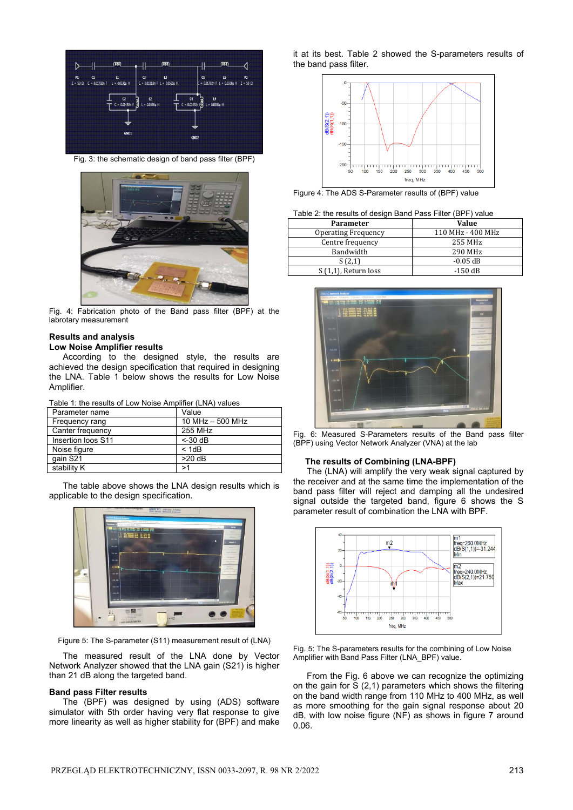

Fig. 3: the schematic design of band pass filter (BPF)



Fig. 4: Fabrication photo of the Band pass filter (BPF) at the labrotary measurement

#### **Results and analysis Low Noise Amplifier results**

According to the designed style, the results are achieved the design specification that required in designing the LNA. Table 1 below shows the results for Low Noise Amplifier.

| Table 1: the results of Low Noise Amplifier (LNA) values |  |
|----------------------------------------------------------|--|
|----------------------------------------------------------|--|

| Parameter name     | Value              |
|--------------------|--------------------|
| Frequency rang     | 10 MHz $-$ 500 MHz |
| Canter frequency   | 255 MHz            |
| Insertion loos S11 | $<$ -30 dB         |
| Noise figure       | < 1dB              |
| qain S21           | $>20$ dB           |
| stability K        | >1                 |

The table above shows the LNA design results which is applicable to the design specification.



Figure 5: The S-parameter (S11) measurement result of (LNA)

The measured result of the LNA done by Vector Network Analyzer showed that the LNA gain (S21) is higher than 21 dB along the targeted band.

#### **Band pass Filter results**

The (BPF) was designed by using (ADS) software simulator with 5th order having very flat response to give more linearity as well as higher stability for (BPF) and make it at its best. Table 2 showed the S-parameters results of the band pass filter.



Figure 4: The ADS S-Parameter results of (BPF) value

| Table 2: the results of design Band Pass Filter (BPF) value |
|-------------------------------------------------------------|
|-------------------------------------------------------------|

| Parameter                  | <b>Value</b>      |
|----------------------------|-------------------|
| <b>Operating Frequency</b> | 110 MHz - 400 MHz |
| Centre frequency           | 255 MHz           |
| Bandwidth                  | 290 MHz           |
| S(2,1)                     | $-0.05$ dB        |
| $S(1,1)$ , Return loss     | $-150$ dB         |



Fig. 6: Measured S-Parameters results of the Band pass filter (BPF) using Vector Network Analyzer (VNA) at the lab

#### **The results of Combining (LNA-BPF)**

The (LNA) will amplify the very weak signal captured by the receiver and at the same time the implementation of the band pass filter will reject and damping all the undesired signal outside the targeted band, figure 6 shows the S parameter result of combination the LNA with BPF.



Fig. 5: The S-parameters results for the combining of Low Noise Amplifier with Band Pass Filter (LNA\_BPF) value.

From the Fig. 6 above we can recognize the optimizing on the gain for  $S(2,1)$  parameters which shows the filtering on the band width range from 110 MHz to 400 MHz, as well as more smoothing for the gain signal response about 20 dB, with low noise figure (NF) as shows in figure 7 around 0.06.